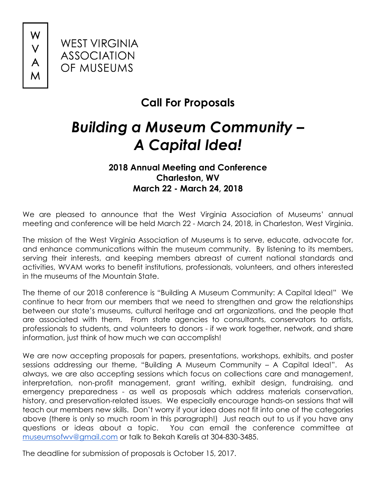W



## **Call For Proposals**

## *Building a Museum Community – A Capital Idea!*

## **2018 Annual Meeting and Conference Charleston, WV March 22 - March 24, 2018**

We are pleased to announce that the West Virginia Association of Museums' annual meeting and conference will be held March 22 - March 24, 2018, in Charleston, West Virginia.

The mission of the West Virginia Association of Museums is to serve, educate, advocate for, and enhance communications within the museum community. By listening to its members, serving their interests, and keeping members abreast of current national standards and activities, WVAM works to benefit institutions, professionals, volunteers, and others interested in the museums of the Mountain State.

The theme of our 2018 conference is "Building A Museum Community: A Capital Idea!" We continue to hear from our members that we need to strengthen and grow the relationships between our state's museums, cultural heritage and art organizations, and the people that are associated with them. From state agencies to consultants, conservators to artists, professionals to students, and volunteers to donors - if we work together, network, and share information, just think of how much we can accomplish!

We are now accepting proposals for papers, presentations, workshops, exhibits, and poster sessions addressing our theme, "Building A Museum Community – A Capital Idea!". As always, we are also accepting sessions which focus on collections care and management, interpretation, non-profit management, grant writing, exhibit design, fundraising, and emergency preparedness - as well as proposals which address materials conservation, history, and preservation-related issues. We especially encourage hands-on sessions that will teach our members new skills. Don't worry if your idea does not fit into one of the categories above (there is only so much room in this paragraph!) Just reach out to us if you have any questions or ideas about a topic. You can email the conference committee at museumsofwv@gmail.com or talk to Bekah Karelis at 304-830-3485.

The deadline for submission of proposals is October 15, 2017.